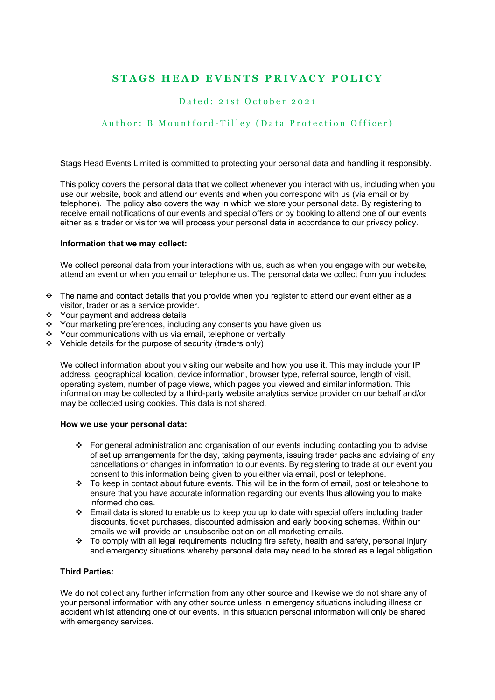# **STAGS HEAD EVENTS PRIVACY POLICY**

# Dated: 2 1st October 2 0 2 1

# Author: B Mountford - Tilley (Data Protection Officer)

Stags Head Events Limited is committed to protecting your personal data and handling it responsibly.

This policy covers the personal data that we collect whenever you interact with us, including when you use our website, book and attend our events and when you correspond with us (via email or by telephone). The policy also covers the way in which we store your personal data. By registering to receive email notifications of our events and special offers or by booking to attend one of our events either as a trader or visitor we will process your personal data in accordance to our privacy policy.

#### **Information that we may collect:**

We collect personal data from your interactions with us, such as when you engage with our website, attend an event or when you email or telephone us. The personal data we collect from you includes:

- $\cdot \cdot$  The name and contact details that you provide when you register to attend our event either as a visitor, trader or as a service provider.
- ❖ Your payment and address details
- v Your marketing preferences, including any consents you have given us
- \* Your communications with us via email, telephone or verbally
- $\div$  Vehicle details for the purpose of security (traders only)

We collect information about you visiting our website and how you use it. This may include your IP address, geographical location, device information, browser type, referral source, length of visit, operating system, number of page views, which pages you viewed and similar information. This information may be collected by a third-party website analytics service provider on our behalf and/or may be collected using cookies. This data is not shared.

#### **How we use your personal data:**

- For general administration and organisation of our events including contacting you to advise of set up arrangements for the day, taking payments, issuing trader packs and advising of any cancellations or changes in information to our events. By registering to trade at our event you consent to this information being given to you either via email, post or telephone.
- $\div$  To keep in contact about future events. This will be in the form of email, post or telephone to ensure that you have accurate information regarding our events thus allowing you to make informed choices.
- v Email data is stored to enable us to keep you up to date with special offers including trader discounts, ticket purchases, discounted admission and early booking schemes. Within our emails we will provide an unsubscribe option on all marketing emails.
- $\div$  To comply with all legal requirements including fire safety, health and safety, personal injury and emergency situations whereby personal data may need to be stored as a legal obligation.

### **Third Parties:**

We do not collect any further information from any other source and likewise we do not share any of your personal information with any other source unless in emergency situations including illness or accident whilst attending one of our events. In this situation personal information will only be shared with emergency services.